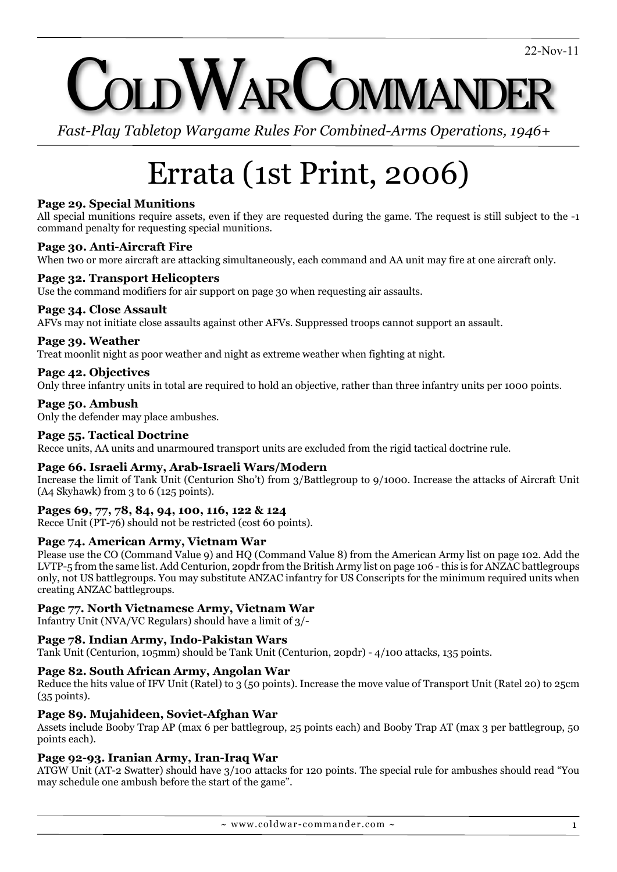# VARCOMMANDI

*Fast-Play Tabletop Wargame Rules For Combined-Arms Operations, 1946+*

# Errata (1st Print, 2006)

# **Page 29. Special Munitions**

All special munitions require assets, even if they are requested during the game. The request is still subject to the -1 command penalty for requesting special munitions.

# **Page 30. Anti-Aircraft Fire**

When two or more aircraft are attacking simultaneously, each command and AA unit may fire at one aircraft only.

# **Page 32. Transport Helicopters**

Use the command modifiers for air support on page 30 when requesting air assaults.

#### **Page 34. Close Assault**

AFVs may not initiate close assaults against other AFVs. Suppressed troops cannot support an assault.

#### **Page 39. Weather**

Treat moonlit night as poor weather and night as extreme weather when fighting at night.

# **Page 42. Objectives**

Only three infantry units in total are required to hold an objective, rather than three infantry units per 1000 points.

**Page 50. Ambush** Only the defender may place ambushes.

#### **Page 55. Tactical Doctrine**

Recce units, AA units and unarmoured transport units are excluded from the rigid tactical doctrine rule.

#### **Page 66. Israeli Army, Arab-Israeli Wars/Modern**

Increase the limit of Tank Unit (Centurion Sho't) from 3/Battlegroup to 9/1000. Increase the attacks of Aircraft Unit (A4 Skyhawk) from 3 to 6 (125 points).

#### **Pages 69, 77, 78, 84, 94, 100, 116, 122 & 124**

Recce Unit (PT-76) should not be restricted (cost 60 points).

#### **Page 74. American Army, Vietnam War**

Please use the CO (Command Value 9) and HQ (Command Value 8) from the American Army list on page 102. Add the LVTP-5 from the same list. Add Centurion, 20pdr from the British Army list on page 106 - this is for ANZAC battlegroups only, not US battlegroups. You may substitute ANZAC infantry for US Conscripts for the minimum required units when creating ANZAC battlegroups.

#### **Page 77. North Vietnamese Army, Vietnam War**

Infantry Unit (NVA/VC Regulars) should have a limit of 3/-

# **Page 78. Indian Army, Indo-Pakistan Wars**

Tank Unit (Centurion, 105mm) should be Tank Unit (Centurion, 20pdr) - 4/100 attacks, 135 points.

#### **Page 82. South African Army, Angolan War**

Reduce the hits value of IFV Unit (Ratel) to 3 (50 points). Increase the move value of Transport Unit (Ratel 20) to 25cm (35 points).

#### **Page 89. Mujahideen, Soviet-Afghan War**

Assets include Booby Trap AP (max 6 per battlegroup, 25 points each) and Booby Trap AT (max 3 per battlegroup, 50 points each).

# **Page 92-93. Iranian Army, Iran-Iraq War**

ATGW Unit (AT-2 Swatter) should have 3/100 attacks for 120 points. The special rule for ambushes should read "You may schedule one ambush before the start of the game".

 $\sim$  www.coldwar-commander.com  $\sim$  1